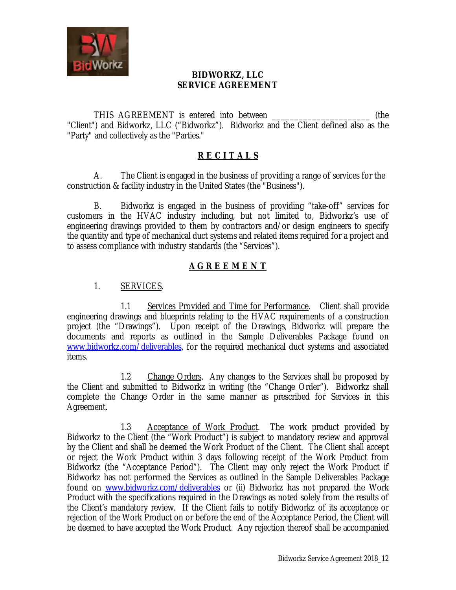

## **BIDWORKZ, LLC SERVICE AGREEMENT**

THIS AGREEMENT is entered into between  $($ the "Client") and Bidworkz, LLC ("Bidworkz"). Bidworkz and the Client defined also as the "Party" and collectively as the "Parties."

## **R E C I T A L S**

A. The Client is engaged in the business of providing a range of services for the construction & facility industry in the United States (the "Business").

B. Bidworkz is engaged in the business of providing "take-off" services for customers in the HVAC industry including, but not limited to, Bidworkz's use of engineering drawings provided to them by contractors and/or design engineers to specify the quantity and type of mechanical duct systems and related items required for a project and to assess compliance with industry standards (the "Services").

## **A G R E E M E N T**

## 1. SERVICES.

1.1 Services Provided and Time for Performance. Client shall provide engineering drawings and blueprints relating to the HVAC requirements of a construction project (the "Drawings"). Upon receipt of the Drawings, Bidworkz will prepare the documents and reports as outlined in the Sample Deliverables Package found on [www.bidworkz.com/deliverables,](http://www.bidworkz.com/deliverables) for the required mechanical duct systems and associated items.

1.2 Change Orders. Any changes to the Services shall be proposed by the Client and submitted to Bidworkz in writing (the "Change Order"). Bidworkz shall complete the Change Order in the same manner as prescribed for Services in this Agreement.

1.3 Acceptance of Work Product. The work product provided by Bidworkz to the Client (the "Work Product") is subject to mandatory review and approval by the Client and shall be deemed the Work Product of the Client. The Client shall accept or reject the Work Product within 3 days following receipt of the Work Product from Bidworkz (the "Acceptance Period"). The Client may only reject the Work Product if Bidworkz has not performed the Services as outlined in the Sample Deliverables Package found on [www.bidworkz.com/deliverables](http://www.bidworkz.com/deliverables) or (ii) Bidworkz has not prepared the Work Product with the specifications required in the Drawings as noted solely from the results of the Client's mandatory review. If the Client fails to notify Bidworkz of its acceptance or rejection of the Work Product on or before the end of the Acceptance Period, the Client will be deemed to have accepted the Work Product. Any rejection thereof shall be accompanied